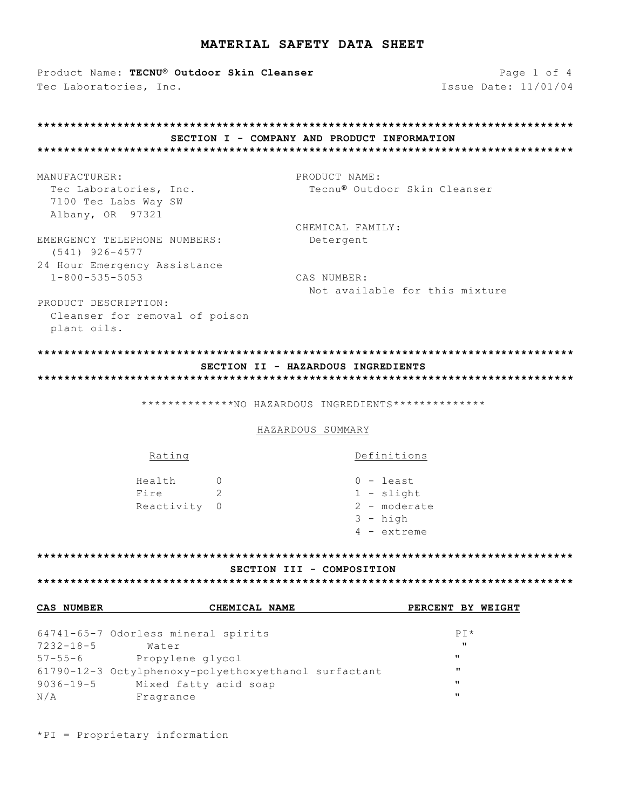Product Name: TECNU® Outdoor Skin Cleanser Tec Laboratories, Inc.

Page 1 of 4 Issue Date: 11/01/04

#### SECTION I - COMPANY AND PRODUCT INFORMATION

MANUFACTURER: Tec Laboratories, Inc. 7100 Tec Labs Way SW Albany, OR 97321

PRODUCT NAME: Tecnu® Outdoor Skin Cleanser

CHEMICAL FAMILY: Detergent

EMERGENCY TELEPHONE NUMBERS:  $(541)$  926-4577 24 Hour Emergency Assistance  $1 - 800 - 535 - 5053$ 

CAS NUMBER: Not available for this mixture

Definitions

 $0 -$ least  $1 -$ slight 2 - moderate  $3 - h$ igh  $4 -$  extreme

PRODUCT DESCRIPTION: Cleanser for removal of poison plant oils.

 $D \cap 1 \cap \alpha$ 

### SECTION II - HAZARDOUS INGREDIENTS

\*\*\*\*\*\*\*\*\*\*\*\*\*\*NO HAZARDOUS INGREDIENTS\*\*\*\*\*\*\*\*\*\*\*\*\*\*\*

#### HAZARDOUS SUMMARY

#### SECTION III - COMPOSITION

| CAS NUMBER | CHEMICAL NAME                                        | PERCENT BY WEIGHT |
|------------|------------------------------------------------------|-------------------|
|            |                                                      |                   |
|            | 64741-65-7 Odorless mineral spirits                  | $PT*$             |
| 7232-18-5  | Water                                                | $\mathbf{u}$      |
| 57-55-6    | Propylene glycol                                     | $\mathbf{u}$      |
|            | 61790-12-3 Octylphenoxy-polyethoxyethanol surfactant | $\mathbf{u}$      |
| 9036-19-5  | Mixed fatty acid soap                                | $^{\prime\prime}$ |
| N/A        | Fragrance                                            | $\mathbf{H}$      |

\*PI = Proprietary information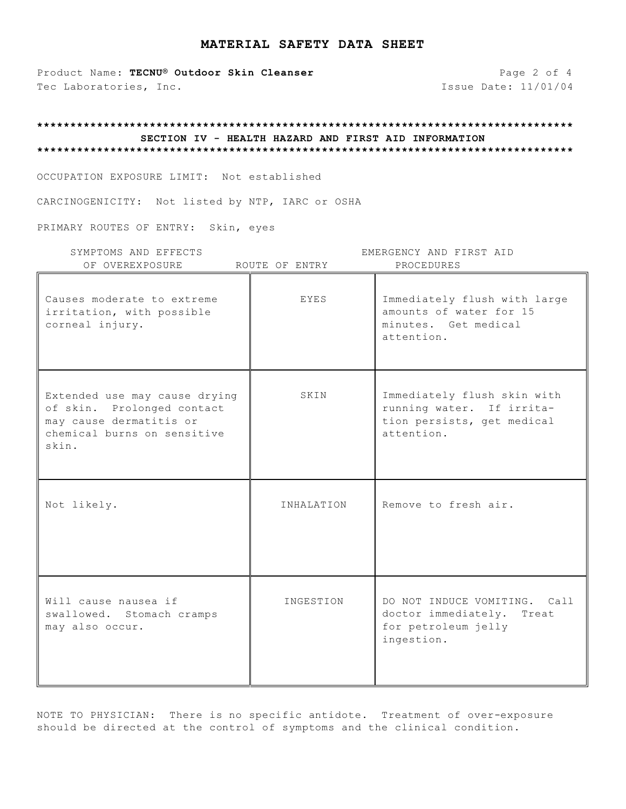Product Name: TECNU<sup>®</sup> Outdoor Skin Cleanser **Page 2 of 4** Tec Laboratories, Inc. 11/01/04

### **\*\*\*\*\*\*\*\*\*\*\*\*\*\*\*\*\*\*\*\*\*\*\*\*\*\*\*\*\*\*\*\*\*\*\*\*\*\*\*\*\*\*\*\*\*\*\*\*\*\*\*\*\*\*\*\*\*\*\*\*\*\*\*\*\*\*\*\*\*\*\*\*\*\*\*\*\*\*\*\*\* SECTION IV - HEALTH HAZARD AND FIRST AID INFORMATION \*\*\*\*\*\*\*\*\*\*\*\*\*\*\*\*\*\*\*\*\*\*\*\*\*\*\*\*\*\*\*\*\*\*\*\*\*\*\*\*\*\*\*\*\*\*\*\*\*\*\*\*\*\*\*\*\*\*\*\*\*\*\*\*\*\*\*\*\*\*\*\*\*\*\*\*\*\*\*\*\***

OCCUPATION EXPOSURE LIMIT: Not established

CARCINOGENICITY: Not listed by NTP, IARC or OSHA

PRIMARY ROUTES OF ENTRY: Skin, eyes

| SYMPTOMS AND EFFECTS<br>OF OVEREXPOSURE                                                                                        | ROUTE OF ENTRY | EMERGENCY AND FIRST AID<br>PROCEDURES                                                                |
|--------------------------------------------------------------------------------------------------------------------------------|----------------|------------------------------------------------------------------------------------------------------|
| Causes moderate to extreme<br>irritation, with possible<br>corneal injury.                                                     | EYES           | Immediately flush with large<br>amounts of water for 15<br>minutes. Get medical<br>attention.        |
| Extended use may cause drying<br>of skin. Prolonged contact<br>may cause dermatitis or<br>chemical burns on sensitive<br>skin. | SKIN           | Immediately flush skin with<br>running water. If irrita-<br>tion persists, get medical<br>attention. |
| Not likely.                                                                                                                    | INHALATION     | Remove to fresh air.                                                                                 |
| Will cause nausea if<br>swallowed. Stomach cramps<br>may also occur.                                                           | INGESTION      | DO NOT INDUCE VOMITING.<br>Ca11<br>doctor immediately.<br>Treat<br>for petroleum jelly<br>ingestion. |

NOTE TO PHYSICIAN: There is no specific antidote. Treatment of over-exposure should be directed at the control of symptoms and the clinical condition.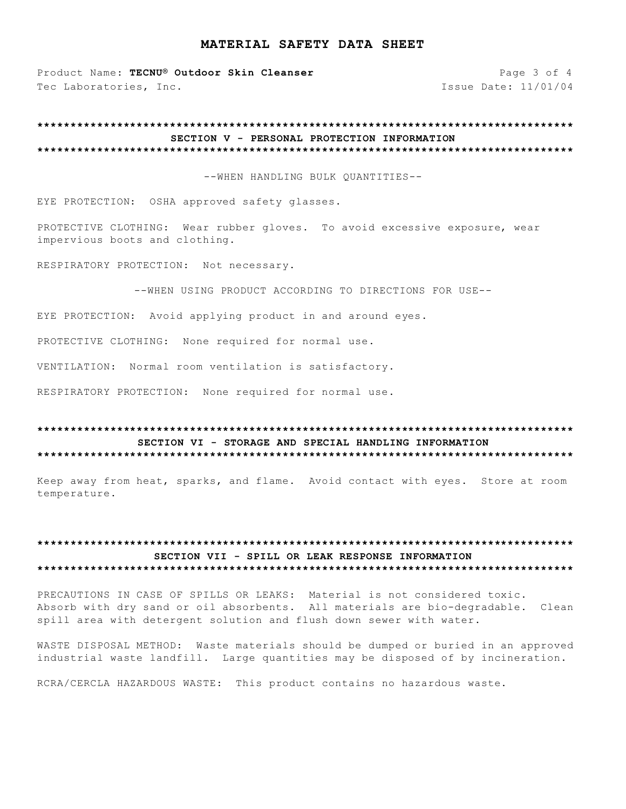Product Name: TECNU® Outdoor Skin Cleanser Tec Laboratories, Inc.

Page 3 of 4 Issue Date: 11/01/04

#### SECTION V - PERSONAL PROTECTION INFORMATION

--WHEN HANDLING BULK OUANTITIES --

EYE PROTECTION: OSHA approved safety glasses.

PROTECTIVE CLOTHING: Wear rubber gloves. To avoid excessive exposure, wear impervious boots and clothing.

RESPIRATORY PROTECTION: Not necessary.

--WHEN USING PRODUCT ACCORDING TO DIRECTIONS FOR USE--

EYE PROTECTION: Avoid applying product in and around eyes.

PROTECTIVE CLOTHING: None required for normal use.

VENTILATION: Normal room ventilation is satisfactory.

RESPIRATORY PROTECTION: None required for normal use.

#### SECTION VI - STORAGE AND SPECIAL HANDLING INFORMATION

Keep away from heat, sparks, and flame. Avoid contact with eyes. Store at room temperature.

#### SECTION VII - SPILL OR LEAK RESPONSE INFORMATION

PRECAUTIONS IN CASE OF SPILLS OR LEAKS: Material is not considered toxic. Absorb with dry sand or oil absorbents. All materials are bio-degradable. Clean spill area with detergent solution and flush down sewer with water.

WASTE DISPOSAL METHOD: Waste materials should be dumped or buried in an approved industrial waste landfill. Large quantities may be disposed of by incineration.

RCRA/CERCLA HAZARDOUS WASTE: This product contains no hazardous waste.